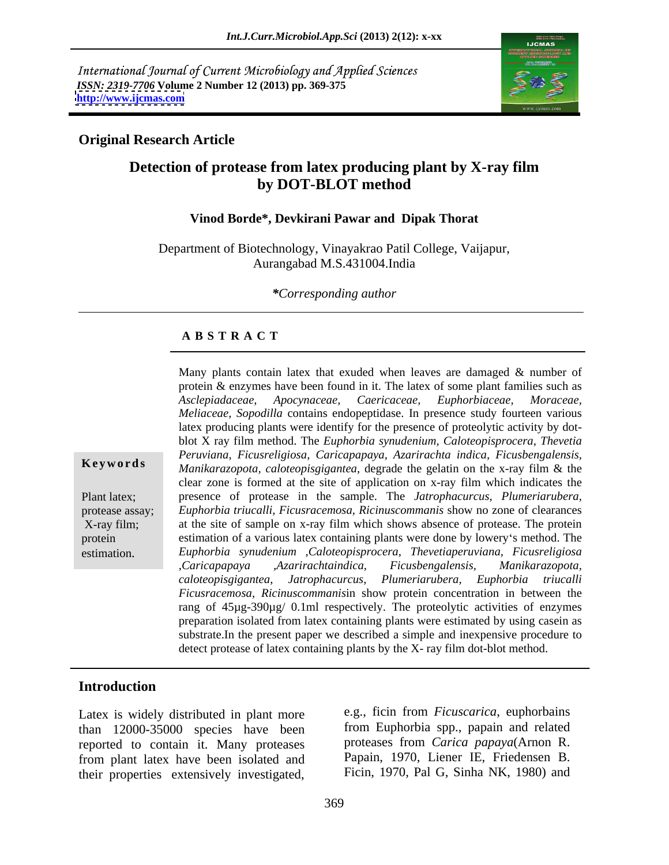International Journal of Current Microbiology and Applied Sciences *ISSN: 2319-7706* **Volume 2 Number 12 (2013) pp. 369-375 <http://www.ijcmas.com>**



## **Original Research Article**

# **Detection of protease from latex producing plant by X-ray film by DOT-BLOT method**

#### **Vinod Borde\*, Devkirani Pawar and Dipak Thorat**

Department of Biotechnology, Vinayakrao Patil College, Vaijapur, Aurangabad M.S.431004.India

#### *\*Corresponding author*

### **A B S T R A C T**

**Ke ywo rds** *Manikarazopota, caloteopisgigantea*, degrade the gelatin on the x-ray film & the Plant latex; presence of protease in the sample. The *Jatrophacurcus, Plumeriarubera,* protease assay; *Euphorbia triucalli, Ficusracemosa, Ricinuscommanis* show no zone of clearances X-ray film; at the site of sample on x-ray film which shows absence of protease. The protein protein estimation of a various latex containing plants were done by lowery s method. The Many plants contain latex that exuded when leaves are damaged & number of<br>protein & enzymes have been found in it. The latex of some plant families such as<br>decipadaceae, Apocynaceae, Euphorbiaceae, Hence as<br>*Meliaceae, Sop* protein & enzymes have been found in it. The latex of some plant families such as *Asclepiadaceae, Apocynaceae, Caericaceae, Euphorbiaceae, Moraceae, Meliaceae, Sopodilla* contains endopeptidase. In presence study fourteen various latex producing plants were identify for the presence of proteolytic activity by dot blot X ray film method. The *Euphorbia synudenium, Caloteopisprocera, Thevetia Peruviana, Ficusreligiosa, Caricapapaya, Azarirachta indica, Ficusbengalensis,* clear zone is formed at the site of application on x-ray film which indicates the *Euphorbia synudenium ,Caloteopisprocera, Thevetiaperuviana, Ficusreligiosa ,Caricapapaya ,Azarirachtaindica, Ficusbengalensis, Manikarazopota, caloteopisgigantea*, *Jatrophacurcus, Plumeriarubera, Euphorbia triucalli Ficusracemosa, Ricinuscommanis*in show protein concentration in between the rang of 45µg-390µg/ 0.1ml respectively. The proteolytic activities of enzymes preparation isolated from latex containing plants were estimated by using casein as substrate.In the present paper we described a simple and inexpensive procedure to detect protease of latex containing plants by the X- ray film dot-blot method.

### **Introduction**

Latex is widely distributed in plant more than 12000-35000 species have been reported to contain it. Many proteases from plant latex have been isolated and their properties extensively investigated,

e.g., ficin from *Ficuscarica*, euphorbains from Euphorbia spp., papain and related proteases from *Carica papaya*(Arnon R. Papain, 1970, Liener IE, Friedensen B. Ficin, 1970, Pal G, Sinha NK, 1980) and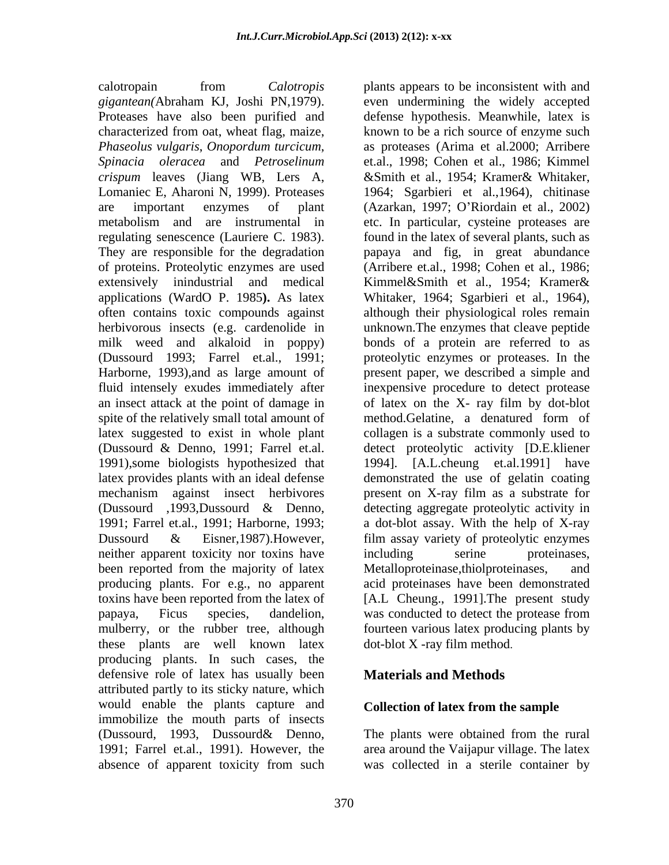calotropain from *Calotropis*  plants appears to be inconsistent with and *gigantean*(Abraham KJ, Joshi PN,1979). even undermining the widely accepted Proteases have also been purified and defense hypothesis. Meanwhile, latex is characterized from oat, wheat flag, maize, known to be a rich source of enzyme such *Phaseolus vulgaris*, *Onopordum turcicum*, as proteases (Arima et al.2000; Arribere *Spinacia oleracea* and *Petroselinum*  et.al., 1998; Cohen et al., 1986; Kimmel *crispum* leaves (Jiang WB, Lers A, &Smith et al., 1954; Kramer& Whitaker, Lomaniec E, Aharoni N, 1999). Proteases 1964; Sgarbieri et al.,1964), chitinase are important enzymes of plant (Azarkan, 1997; O Riordain et al., 2002) metabolism and are instrumental in etc. In particular, cysteine proteases are regulating senescence (Lauriere C. 1983). found in the latex of several plants, such as They are responsible for the degradation papaya and fig, in great abundance of proteins. Proteolytic enzymes are used (Arribere et.al., 1998; Cohen et al., 1986; extensively inindustrial and medical Kimmel&Smith et al., 1954; Kramer& applications (WardO P. 1985**).** As latex Whitaker, 1964; Sgarbieri et al., 1964), often contains toxic compounds against although their physiological roles remain herbivorous insects (e.g. cardenolide in unknown.The enzymes that cleave peptide milk weed and alkaloid in poppy) bonds of a protein are referred to as (Dussourd 1993; Farrel et.al., 1991; proteolytic enzymes or proteases. In the Harborne, 1993),and as large amount of present paper, we described a simple and fluid intensely exudes immediately after inexpensive procedure to detect protease an insect attack at the point of damage in of latex on the X- ray film by dot-blot spite of the relatively small total amount of method. Gelatine, a denatured form of latex suggested to exist in whole plant collagen is a substrate commonly used to (Dussourd & Denno, 1991; Farrel et.al. detect proteolytic activity [D.E.kliener 1991),some biologists hypothesized that latex provides plants with an ideal defense demonstrated the use of gelatin coating mechanism against insect herbivores present on X-ray film as a substrate for (Dussourd ,1993,Dussourd & Denno, detecting aggregate proteolytic activity in 1991; Farrel et.al., 1991; Harborne, 1993; a dot-blot assay. With the help of X-ray Dussourd & Eisner,1987).However, film assay variety of proteolytic enzymes neither apparent toxicity nor toxins have including serine proteinases, been reported from the majority of latex Metalloproteinase, thiolproteinases, and producing plants. For e.g., no apparent acid proteinases have been demonstrated toxins have been reported from the latex of [A.L Cheung., 1991].The present study papaya, Ficus species, dandelion, mulberry, or the rubber tree, although these plants are well known latex producing plants. In such cases, the defensive role of latex has usually been attributed partly to its sticky nature, which would enable the plants capture and immobilize the mouth parts of insects (Dussourd, 1993, Dussourd& Denno, 1991; Farrel et.al., 1991). However, the

even undermining the widely accepted defense hypothesis. Meanwhile, latex is Kimmel&Smith et al., 1954; Kramer& method.Gelatine, a denatured form of 1994]. [A.L.cheung et.al.1991] have including serine proteinases, Metalloproteinase,thiolproteinases, was conducted to detect the protease from fourteen various latex producing plants by dot-blot X -ray film method.

## **Materials and Methods**

### **Collection of latex from the sample**

absence of apparent toxicity from such was collected in a sterile container by The plants were obtained from the rural area around the Vaijapur village. The latex was collected in a sterile container by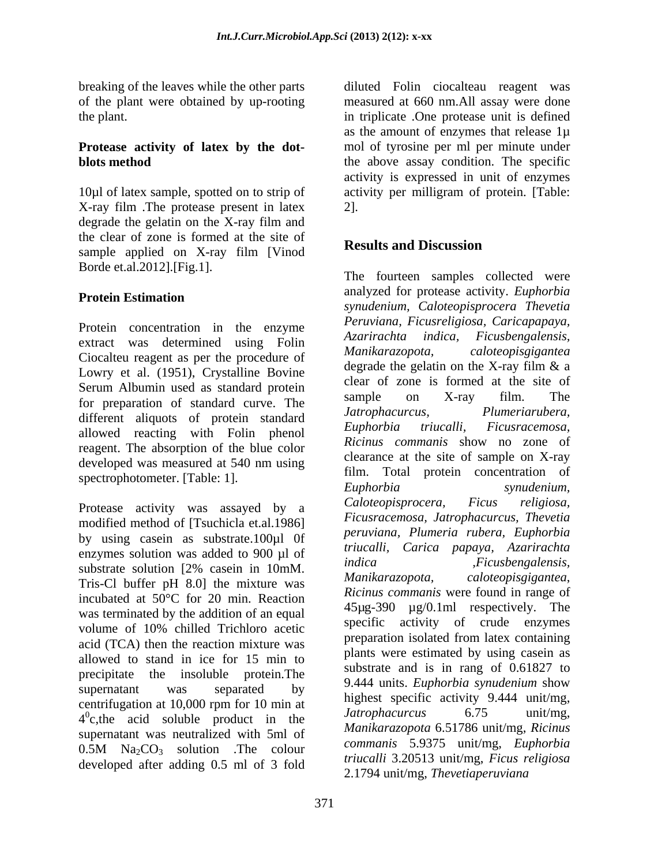X-ray film .The protease present in latex degrade the gelatin on the X-ray film and the clear of zone is formed at the site of<br>
Results and Discussion sample applied on X-ray film [Vinod Borde et.al.2012].[Fig.1].

Protein concentration in the enzyme<br>Azarirachta indica, Ficusbengalensis, extract was determined using Folin azartrachia indica, Ficuspengalensis,<br>Circulation and the mean has a manifestation of Manikarazopota, caloteopisgigantea Ciocalteu reagent as per the procedure of Lowry et al. (1951), Crystalline Bovine Serum Albumin used as standard protein<br>Serves and the state of the standard comes. The sample on X-ray film. The for preparation of standard curve. The sample on X-ray 11m. The different eliminate of preparation standard Jatrophacurcus, Plumeriarubera, different aliquots of protein standard *Jatrophacurcus*, *Plumeriarubera*,<br>Lumeria standard *Euphorbia triucalli*, *Ficusracemosa*, allowed reacting with Folin phenol reagent. The absorption of the blue color

modified method of [Tsuchicla et.al.1986] by using casein as substrate.100µl 0f enzymes solution was added to 900  $\mu$ l of *trucalli, Carica papaya, Azarirachta*<br> *indica Ficusbengalensis,* substrate solution  $[2\%$  casein in  $10 \text{mM}$ .  $\frac{100 \text{mG}}{2}$ <br>True Cl, by for a H,  $\frac{9.01 \text{mG}}{2}$  the mixture wes Manikarazopota, Tris-Cl buffer pH 8.0] the mixture was incubated at 50°C for 20 min. Reaction was terminated by the addition of an equal volume of 10% chilled Trichloro acetic acid (TCA) then the reaction mixture was allowed to stand in ice for 15 min to precipitate the insoluble protein.The supernatant was separated by  $\frac{9.444 \text{ units}}{1.1}$   $\frac{1.1}{2.1}$   $\frac{1.1}{2.1}$   $\frac{1.1}{2.1}$   $\frac{1.1}{2.1}$   $\frac{1.1}{2.1}$   $\frac{1.1}{2.1}$   $\frac{1.1}{2.1}$   $\frac{1.1}{2.1}$   $\frac{1.1}{2.1}$   $\frac{1.1}{2.1}$   $\frac{1.1}{2.1}$   $\frac{1.1}{2.1}$   $\frac$ centrifugation at 10,000 rpm for 10 min at  $\frac{10}{4}$  linguest specific activity 9.444 unit/ing,  $4^{\circ}$ c,the acid soluble product in the *Jatrophacurcus* 6./5 unit/mg, supernatant was neutralized with 5ml of 0.5M  $\text{Na}_2\text{CO}_3$  solution . The colour community 5.9515 univing, *Euphoroia* developed after adding 0.5 ml of 3 fold

breaking of the leaves while the other parts diluted Folin ciocalteau reagent was of the plant were obtained by up-rooting measured at 660 nm.All assay were done the plant. in triplicate .One protease unit is defined **Protease activity of latex by the dot-** mol of tyrosine per ml per minute under **blots method** the above assay condition. The specific 10µl of latex sample, spotted on to strip of activity per milligram of protein. [Table: as the amount of enzymes that release 1µ activity is expressed in unit of enzymes 2].

# **Results and Discussion**

**Protein Estimation** analyzed for protease activity. *Euphoroia* developed was measured at  $540 \text{ nm}$  using  $\frac{C \text{train}}{C}$  at the site of sample on  $\Delta$ -ray spectrophotometer. [Table: 1]. The metal metal of the spectrophotometer. [Table: 1]. The spectrophotometer. Table: 1]. Protease activity was assayed by a Caloteopisprocera, Ficus religiosa, The fourteen samples collected were analyzed for protease activity. *Euphorbia synudenium, Caloteopisprocera Thevetia Peruviana, Ficusreligiosa, Caricapapaya, Azarirachta indica, Ficusbengalensis, Manikarazopota, caloteopisgigantea* degrade the gelatin on the X-ray film & a clear of zone is formed at the site of sample on X-ray film. The *Jatrophacurcus, Plumeriarubera, Euphorbia triucalli, Ficusracemosa, Ricinus commanis* show no zone of clearance at the site of sample on X-ray film. Total protein concentration of *Euphorbia synudenium, Caloteopisprocera, Ficus religiosa, Ficusracemosa, Jatrophacurcus, Thevetia peruviana, Plumeria rubera, Euphorbia triucalli, Carica papaya, Azarirachta indica ,Ficusbengalensis, Manikarazopota, caloteopisgigantea*, *Ricinus commanis* were found in range of 45µg-390 µg/0.1ml respectively. The specific activity of crude enzymes preparation isolated from latex containing plants were estimated by using casein as substrate and is in rang of 0.61827 to 9.444 units. *Euphorbia synudenium* show highest specific activity 9.444 unit/mg, *Jatrophacurcus* 6.75 unit/mg, *Manikarazopota* 6.51786 unit/mg, *Ricinus commanis* 5.9375 unit/mg, *Euphorbia triucalli* 3.20513 unit/mg, *Ficus religiosa*  2.1794 unit/mg, *Thevetiaperuviana*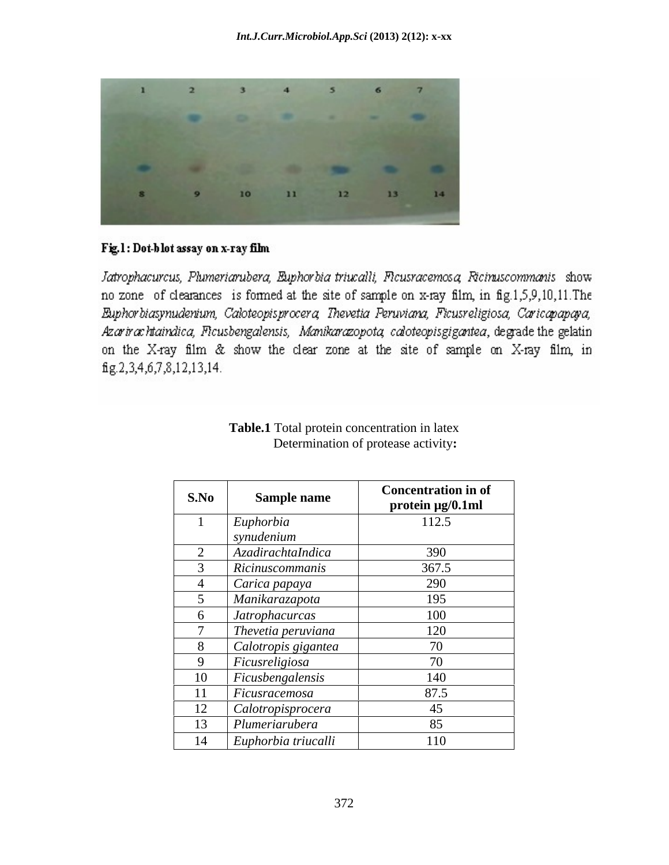

### Fig.1: Dot-blot assay on x-ray film

Jatrophacurcus, Plumeriarubera, Euphorbia triucalli, Ficusracemosa, Ricinuscommanis show no zone of clearances is formed at the site of sample on x-ray film, in fig.1,5,9,10,11. The Euphorbiasynudenium, Caloteopisprocera, Thevetia Peruviana, Ficusreligiosa, Caricapapaya, Azarirachtaindica, Flcusbengalensis, Manikarazopota, caloteopisgigantea, degrade the gelatin on the X-ray film & show the clear zone at the site of sample on X-ray film, in fig.2,3,4,6,7,8,12,13,14.

| S.No | <b>Sample name</b>    | <b>Concentration in of</b><br>protein µg/0.1ml |
|------|-----------------------|------------------------------------------------|
|      | Euphorbia             | 112.5                                          |
|      | synudenium            |                                                |
|      | AzadirachtaIndica     | 390                                            |
|      | Ricinuscommanis       | 367.5                                          |
|      | Carica papaya         | 290                                            |
|      | Manikarazapota        | 195                                            |
|      | <i>Jatrophacurcas</i> | 100                                            |
|      | Thevetia peruviana    | 120                                            |
|      | Calotropis gigantea   | 70                                             |
|      | Ficusreligiosa        | 70                                             |
| 10   | Ficusbengalensis      | 140                                            |
| 11   | Ficusracemosa         | 87.5                                           |
| 12   | Calotropisprocera     | 45                                             |
| 13   | Plumeriarubera        | 85                                             |
| 14   | Euphorbia triucalli   | 110                                            |

#### **Table.1** Total protein concentration in latex Determination of protease activity**:**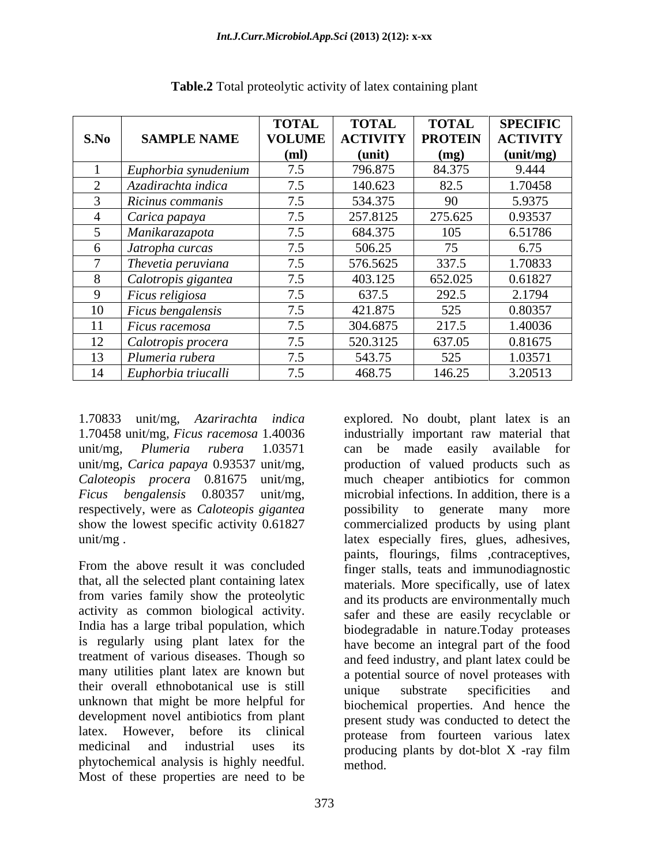|      |                                  | <b>TOTAL</b>  | <b>TOTAL</b>    | <b>TOTAL</b>   | <b>SPECIFIC</b> |
|------|----------------------------------|---------------|-----------------|----------------|-----------------|
| S.No | <b>SAMPLE NAME</b>               | <b>VOLUME</b> | <b>ACTIVITY</b> | <b>PROTEIN</b> | <b>ACTIVITY</b> |
|      |                                  | (ml)          | (unit)          | (mg)           | (unit/mg)       |
|      | $\mathbf{E}$ uphorbia synudenium |               | 796.875         | 84.375         | 9.444           |
|      | Azadirachta indica               | 7.5           | 140.623         | 82.5           | 1.70458         |
|      | Ricinus commanis                 | 7.5           | 534.375         | 90             | 5.9375          |
|      | Carica papaya                    | 7.5           | 257.8125        | 275.625        | 0.93537         |
|      | Manikarazapota                   | 7.5           | 684.375         | 105            | 6.51786         |
|      | $\int$ Jatropha curcas           | 7.5           | 506.25          | 75             | 6.75            |
|      | Thevetia peruviana               | 7.5           | 576.5625        | 337.5          | .70833          |
|      | Calotropis gigantea              | 7.5           | 403.125         | 652.025        | 0.61827         |
|      | Ficus religiosa                  | 7.5           | 637.5           | 292.5          | 2.1794          |
|      | $\mid$ Ficus bengalensis         | 7.5           | 421.875         | 525            | 0.80357         |
|      | $ $ Ficus racemosa               | 7.5           | 304.6875        | 217.5          | 1.40036         |
| 12   | Calotropis procera               | 7.5           | 520.3125        | 637.05         | 0.81675         |
| 13   | Plumeria rubera                  | 7.5           | 543.75          | 525            | 1.03571         |
|      | 14 Euphorbia triucalli           | 7.5           | 468.75          | 146.25         | 3.20513         |

**Table.2** Total proteolytic activity of latex containing plant

unit/mg, *Carica papaya* 0.93537 unit/mg, *Caloteopis procera* 0.81675 unit/mg, respectively, were as *Caloteopis gigantea*

From the above result it was concluded finger stalls, teats and immunodiagnostic that, all the selected plant containing latex from varies family show the proteolytic and its products are environmentally much activity as common biological activity. safer and these are easily recyclable or India has a large tribal population, which is regularly using plant latex for the treatment of various diseases. Though so many utilities plant latex are known but a potential source of novel proteases with their overall ethnobotanical use is still unknown that might be more helpful for development novel antibiotics from plant latex. However, before its clinical protease from fourteen various latex medicinal and industrial uses its producing plants by dot-blot X -ray film phytochemical analysis is highly needful. Most of these properties are need to be

1.70833 unit/mg, *Azarirachta indica*  explored. No doubt, plant latex is an 1.70458 unit/mg*, Ficus racemosa* 1.40036 industrially important raw material that unit/mg, *Plumeria rubera* 1.03571 can be made easily available for *Ficus bengalensis* 0.80357 unit/mg, microbial infections. In addition, there is a show the lowest specific activity 0.61827 commercialized products by using plant unit/mg . latex especially fires, glues, adhesives, production of valued products such as much cheaper antibiotics for common possibility to generate many more paints, flourings, films ,contraceptives, materials. More specifically, use of latex biodegradable in nature.Today proteases have become an integral part of the food and feed industry, and plant latex could be unique substrate specificities and biochemical properties. And hence the present study was conducted to detect the method.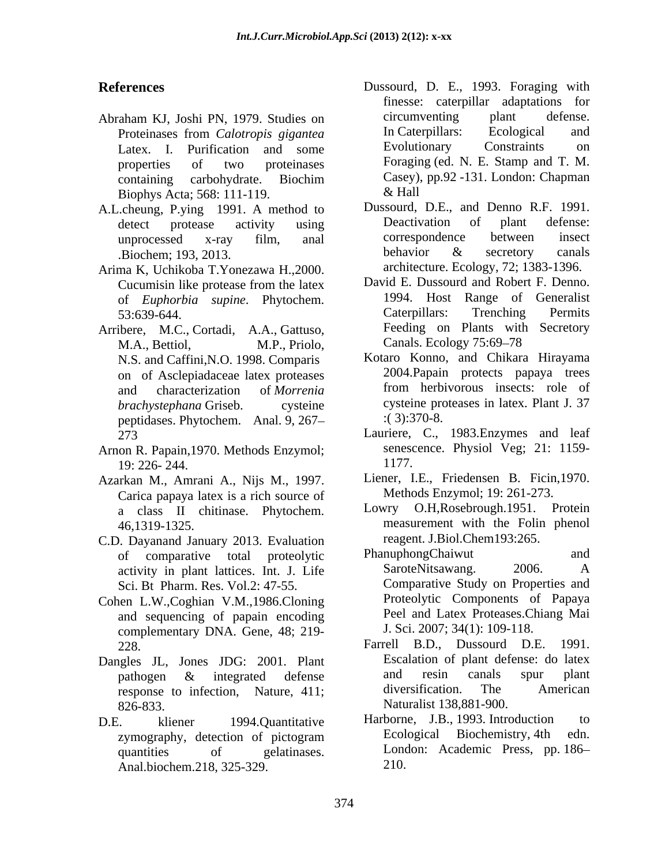- Biophys Acta; 568: 111-119.
- A.L.cheung, P.ying 1991. A method to Dussourd, D.E., and Denno R.F. 1991.<br>
detect protesse activity using Deactivation of plant defense:
- Arima K, Uchikoba T.Yonezawa H.,2000. <br>Cucumisin like protease from the latex David E. Dussourd and Robert F. Denno.
- Arribere, M.C., Cortadi, A.A., Gattuso, M.A., Bettiol, M.P., Priolo, Canals. Ecology 75:69-78 N.S. and Caffini,N.O. 1998. Comparis peptidases. Phytochem. Anal. 9, 267
- Arnon R. Papain, 1970. Methods Enzymol;<br>19. 226- 244<br>1177. 19: 226- 244.
- Azarkan M., Amrani A., Nijs M., 1997. Carica papaya latex is a rich source of Methods Enzymol; 19: 261-27<br>a class II chitinase Phytochem Lowry O.H, Rosebrough. 1951.
- C.D. Dayanand January 2013. Evaluation reagent. J.Biol.Chem193:265.<br>
of comparative total proteclytic PhanuphongChaiwut and Sci. Bt Pharm. Res. Vol.2: 47-55.
- Cohen L.W.,Coghian V.M.,1986.Cloning and sequencing of papain encoding complementary DNA. Gene, 48; 219-<br>228 Farrell B.D., Dussourd D.E. 1991.
- Dangles JL, Jones JDG: 2001. Plant Liscalation of plant defense: do latex<br>
nathogen & integrated defense and resin canals spur plant 826-833. Naturalist 138,881-900.
- Anal.biochem.218, 325-329.
- **References** Dussourd, D. E., 1993. Foraging with Abraham KJ, Joshi PN, 1979. Studies on circumventing plant defense.<br>Proteinases from *Calotronis gigantea* In Caterpillars: Ecological and Proteinases from *Calotropis gigantea* Latex. I. Purification and some Evolutionary Constraints on properties of two proteinases Foraging (ed. N. E. Stamp and T. M. containing carbohydrate. Biochim finesse: caterpillar adaptations for circumventing plant defense. In Caterpillars: Ecological and Evolutionary Constraints on Casey), pp.92 -131. London: Chapman & Hall
	- detect protease activity using Deactivation of plant defense: unprocessed x-ray film, anal Biochem: 193, 2013. behavior & secretory canals Dussourd, D.E., and Denno R.F. 1991. Deactivation of plant defense: correspondence between insect behavior & secretory canals architecture. Ecology, 72; 1383-1396.
	- Cucumisin like protease from the latex David E. Dussourd and Robert F. Denno. of *Euphorbia supine*. Phytochem. 1994. Host Range of Generalist 53:639-644. 53:639-644. Caterpillars: Trenching Permits David E. Dussourd and Robert F. Denno. 1994. Host Range of Generalist Caterpillars: Trenching Permits Feeding on Plants with Secretory Canals. Ecology 75:69–78
	- on of Asclepiadaceae latex proteases and characterization of *Morrenia* from herbivorous insects: role of and characterization of *Morrenia brachystephana* Griseb. cysteine cysteine proteases in latex. Plant J. 37 Kotaro Konno, and Chikara Hirayama 2004.Papain protects papaya trees from herbivorous insects: role of :( 3):370-8.
	- 273 Lauriere, C., 1983.Enzymes and leaf senescence. Physiol Veg; 21: 1159- 1177.
		- Liener, I.E., Friedensen B. Ficin,1970. Methods Enzymol; 19: 261-273.
	- a class II chitinase. Phytochem. 46,1319-1325. measurement with the Folin phenol Lowry O.H,Rosebrough.1951. Protein reagent. J.Biol.Chem193:265.
	- of comparative total proteolytic PhanuphongChaiwut and activity in plant lattices. Int. J. Life SaroteNitsawang. 2006. A PhanuphongChaiwut and SaroteNitsawang. Comparative Study on Properties and Proteolytic Components of Papaya Peel and Latex Proteases.Chiang Mai J. Sci. 2007; 34(1): 109-118.
	- 228. Farrell B.D., Dussourd D.E. 1991. pathogen & integrated defense and resin canals spur plant response to infection, Nature, 411; diversification. The American Escalation of plant defense: do latex and resin canals spur plant diversification. The American
- D.E. kliener 1994.Quantitative Harborne, J.B., 1993. Introduction to zymography, detection of pictogram Ecological Biochemistry, 4th edn. quantities of gelatinases. London: Academic Press, pp. 186 Ecological Biochemistry, 4th edn. 210.